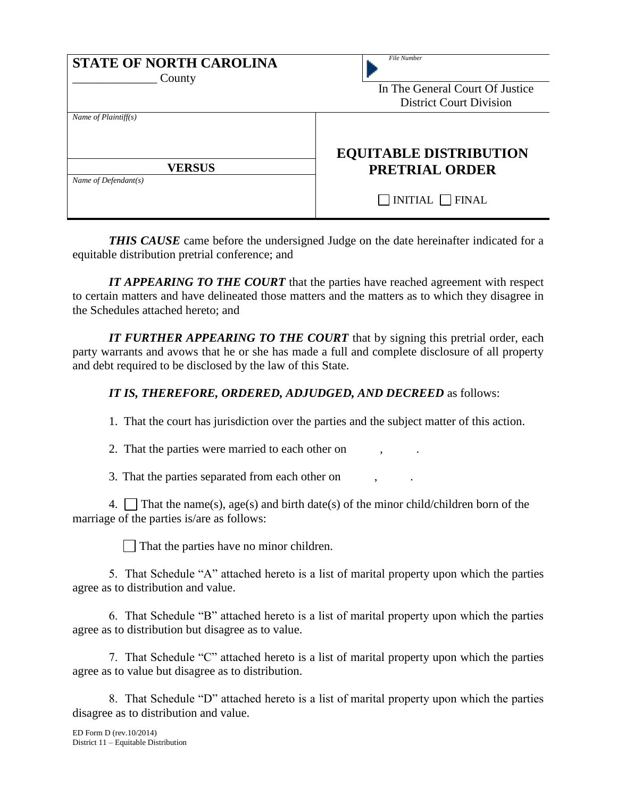| <b>STATE OF NORTH CAROLINA</b><br>County                        | File Number<br>In The General Court Of Justice<br><b>District Court Division</b> |
|-----------------------------------------------------------------|----------------------------------------------------------------------------------|
| Name of $Plaintiff(s)$<br><b>VERSUS</b><br>Name of Defendant(s) | <b>EQUITABLE DISTRIBUTION</b><br><b>PRETRIAL ORDER</b>                           |
|                                                                 | $INTIAL$ FINAL                                                                   |

*THIS CAUSE* came before the undersigned Judge on the date hereinafter indicated for a equitable distribution pretrial conference; and

*IT APPEARING TO THE COURT* that the parties have reached agreement with respect to certain matters and have delineated those matters and the matters as to which they disagree in the Schedules attached hereto; and

*IT FURTHER APPEARING TO THE COURT* that by signing this pretrial order, each party warrants and avows that he or she has made a full and complete disclosure of all property and debt required to be disclosed by the law of this State.

## *IT IS, THEREFORE, ORDERED, ADJUDGED, AND DECREED* as follows:

1. That the court has jurisdiction over the parties and the subject matter of this action.

2. That the parties were married to each other on

3. That the parties separated from each other on , *.*

4. That the name(s), age(s) and birth date(s) of the minor child/children born of the marriage of the parties is/are as follows:

That the parties have no minor children.

5. That Schedule "A" attached hereto is a list of marital property upon which the parties agree as to distribution and value.

6. That Schedule "B" attached hereto is a list of marital property upon which the parties agree as to distribution but disagree as to value.

7. That Schedule "C" attached hereto is a list of marital property upon which the parties agree as to value but disagree as to distribution.

8. That Schedule "D" attached hereto is a list of marital property upon which the parties disagree as to distribution and value.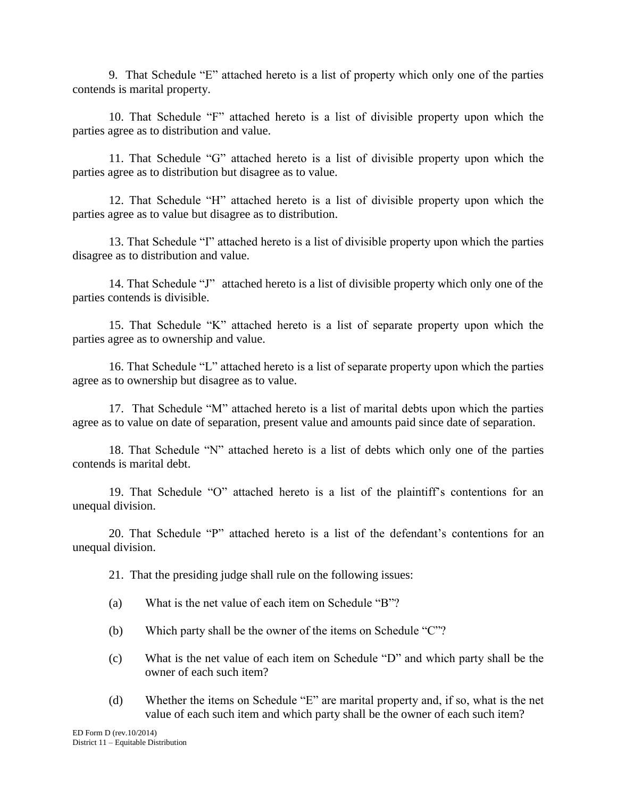9. That Schedule "E" attached hereto is a list of property which only one of the parties contends is marital property.

10. That Schedule "F" attached hereto is a list of divisible property upon which the parties agree as to distribution and value.

11. That Schedule "G" attached hereto is a list of divisible property upon which the parties agree as to distribution but disagree as to value.

12. That Schedule "H" attached hereto is a list of divisible property upon which the parties agree as to value but disagree as to distribution.

13. That Schedule "I" attached hereto is a list of divisible property upon which the parties disagree as to distribution and value.

14. That Schedule "J" attached hereto is a list of divisible property which only one of the parties contends is divisible.

15. That Schedule "K" attached hereto is a list of separate property upon which the parties agree as to ownership and value.

16. That Schedule "L" attached hereto is a list of separate property upon which the parties agree as to ownership but disagree as to value.

17. That Schedule "M" attached hereto is a list of marital debts upon which the parties agree as to value on date of separation, present value and amounts paid since date of separation.

18. That Schedule "N" attached hereto is a list of debts which only one of the parties contends is marital debt.

19. That Schedule "O" attached hereto is a list of the plaintiff's contentions for an unequal division.

20. That Schedule "P" attached hereto is a list of the defendant's contentions for an unequal division.

21. That the presiding judge shall rule on the following issues:

- (a) What is the net value of each item on Schedule "B"?
- (b) Which party shall be the owner of the items on Schedule "C"?
- (c) What is the net value of each item on Schedule "D" and which party shall be the owner of each such item?
- (d) Whether the items on Schedule "E" are marital property and, if so, what is the net value of each such item and which party shall be the owner of each such item?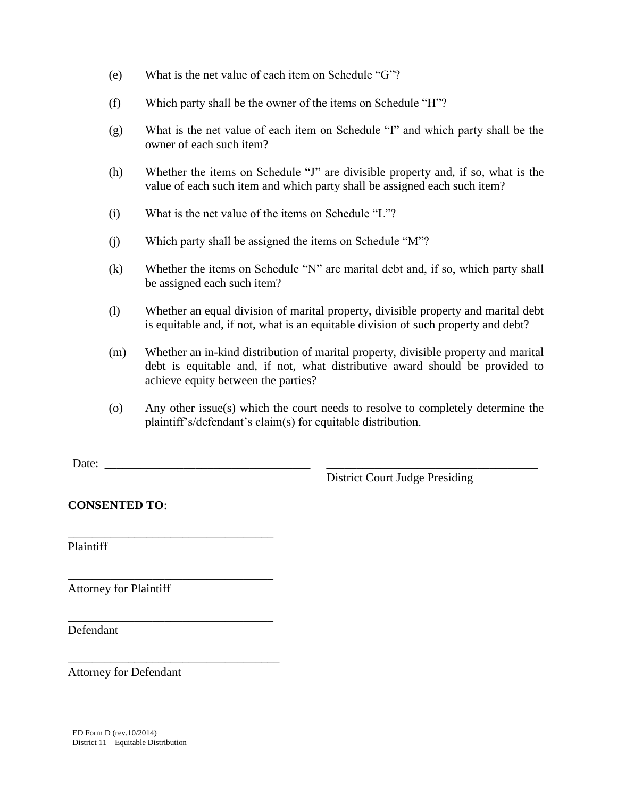- (e) What is the net value of each item on Schedule "G"?
- (f) Which party shall be the owner of the items on Schedule "H"?
- (g) What is the net value of each item on Schedule "I" and which party shall be the owner of each such item?
- (h) Whether the items on Schedule "J" are divisible property and, if so, what is the value of each such item and which party shall be assigned each such item?
- (i) What is the net value of the items on Schedule "L"?
- (j) Which party shall be assigned the items on Schedule "M"?
- (k) Whether the items on Schedule "N" are marital debt and, if so, which party shall be assigned each such item?
- (l) Whether an equal division of marital property, divisible property and marital debt is equitable and, if not, what is an equitable division of such property and debt?
- (m) Whether an in-kind distribution of marital property, divisible property and marital debt is equitable and, if not, what distributive award should be provided to achieve equity between the parties?
- (o) Any other issue(s) which the court needs to resolve to completely determine the plaintiff's/defendant's claim(s) for equitable distribution.

Date:  $\Box$ 

District Court Judge Presiding

**CONSENTED TO**:

\_\_\_\_\_\_\_\_\_\_\_\_\_\_\_\_\_\_\_\_\_\_\_\_\_\_\_\_\_\_\_\_\_\_

\_\_\_\_\_\_\_\_\_\_\_\_\_\_\_\_\_\_\_\_\_\_\_\_\_\_\_\_\_\_\_\_\_\_

\_\_\_\_\_\_\_\_\_\_\_\_\_\_\_\_\_\_\_\_\_\_\_\_\_\_\_\_\_\_\_\_\_\_

\_\_\_\_\_\_\_\_\_\_\_\_\_\_\_\_\_\_\_\_\_\_\_\_\_\_\_\_\_\_\_\_\_\_\_

Plaintiff

Attorney for Plaintiff

Defendant

Attorney for Defendant